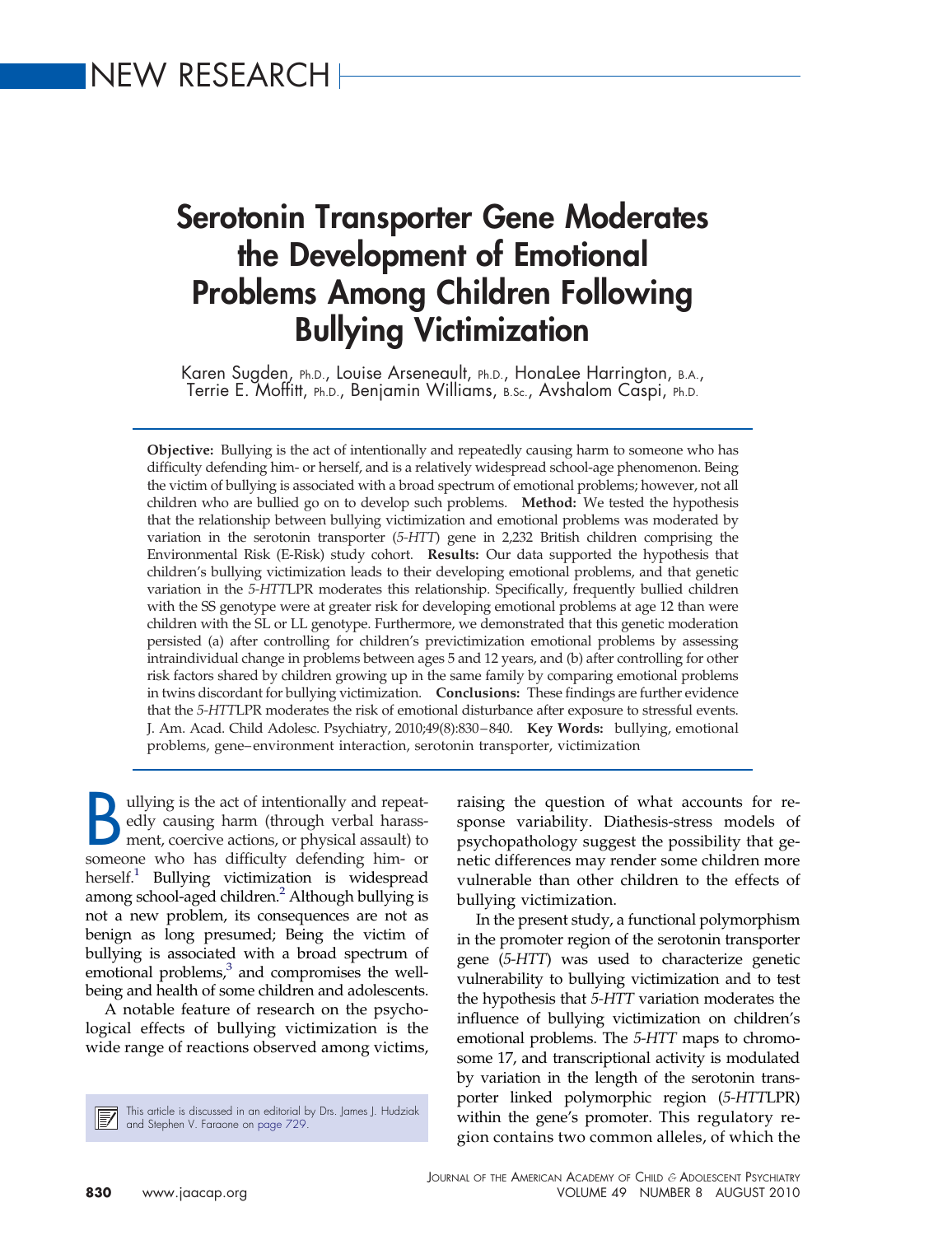# **Serotonin Transporter Gene Moderates the Development of Emotional Problems Among Children Following Bullying Victimization**

Karen Sugden, Ph.D., Louise Arseneault, Ph.D., HonaLee Harrington, B.A., Terrie E. Moffitt, Ph.D., Benjamin Williams, B.Sc., Avshalom Caspi, Ph.D.

**Objective:** Bullying is the act of intentionally and repeatedly causing harm to someone who has difficulty defending him- or herself, and is a relatively widespread school-age phenomenon. Being the victim of bullying is associated with a broad spectrum of emotional problems; however, not all children who are bullied go on to develop such problems. **Method:** We tested the hypothesis that the relationship between bullying victimization and emotional problems was moderated by variation in the serotonin transporter (*5-HTT*) gene in 2,232 British children comprising the Environmental Risk (E-Risk) study cohort. **Results:** Our data supported the hypothesis that children's bullying victimization leads to their developing emotional problems, and that genetic variation in the *5-HTT*LPR moderates this relationship. Specifically, frequently bullied children with the SS genotype were at greater risk for developing emotional problems at age 12 than were children with the SL or LL genotype. Furthermore, we demonstrated that this genetic moderation persisted (a) after controlling for children's previctimization emotional problems by assessing intraindividual change in problems between ages 5 and 12 years, and (b) after controlling for other risk factors shared by children growing up in the same family by comparing emotional problems in twins discordant for bullying victimization. **Conclusions:** These findings are further evidence that the *5-HTT*LPR moderates the risk of emotional disturbance after exposure to stressful events. J. Am. Acad. Child Adolesc. Psychiatry, 2010;49(8):830 – 840. **Key Words:** bullying, emotional problems, gene– environment interaction, serotonin transporter, victimization

I ullying is the act of intentionally and repeatedly causing harm (through verbal harassment, coercive actions, or physical assault) to someone who has difficulty defending him-order edly causing harm (through verbal harasssomeone who has difficulty defending him- or herself.<sup>1</sup> Bullying victimization is widespread among school-aged children.<sup>2</sup> Although bullying is not a new problem, its consequences are not as benign as long presumed; Being the victim of bullying is associated with a broad spectrum of emotional problems, $3$  and compromises the wellbeing and health of some children and adolescents.

A notable feature of research on the psychological effects of bullying victimization is the wide range of reactions observed among victims,

This article is discussed in an editorial by Drs. James J. Hudziak and Stephen V. Faraone on [page 729.](http://linkinghub.elsevier.com/retrieve/pii/S0890856710004958)

raising the question of what accounts for response variability. Diathesis-stress models of psychopathology suggest the possibility that genetic differences may render some children more vulnerable than other children to the effects of bullying victimization.

In the present study, a functional polymorphism in the promoter region of the serotonin transporter gene (*5-HTT*) was used to characterize genetic vulnerability to bullying victimization and to test the hypothesis that *5-HTT* variation moderates the influence of bullying victimization on children's emotional problems. The *5-HTT* maps to chromosome 17, and transcriptional activity is modulated by variation in the length of the serotonin transporter linked polymorphic region (*5-HTT*LPR) within the gene's promoter. This regulatory region contains two common alleles, of which the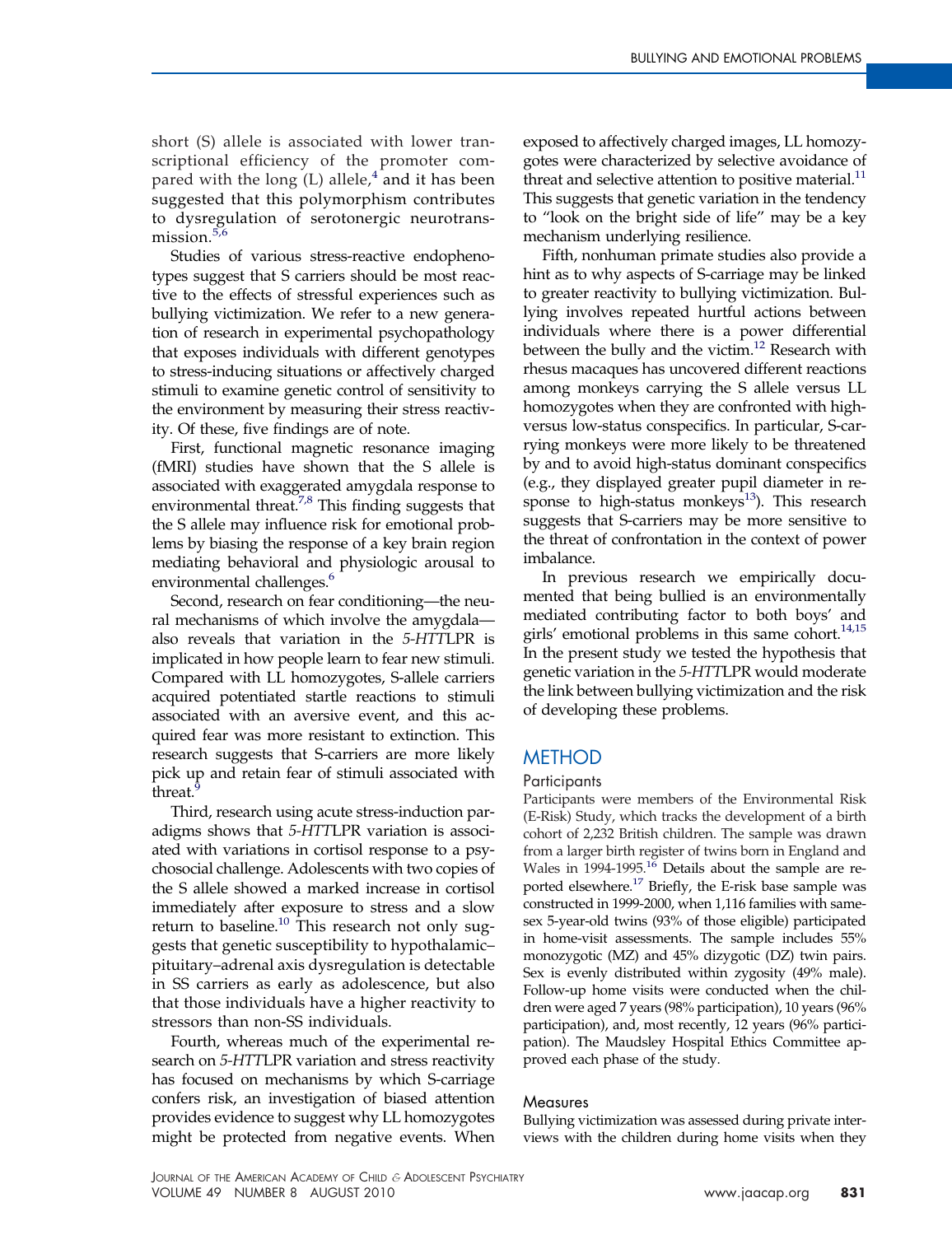short (S) allele is associated with lower transcriptional efficiency of the promoter compared with the long  $(L)$  allele,<sup>[4](#page-9-0)</sup> and it has been suggested that this polymorphism contributes to dysregulation of serotonergic neurotrans-mission.<sup>[5,6](#page-9-0)</sup>

Studies of various stress-reactive endophenotypes suggest that S carriers should be most reactive to the effects of stressful experiences such as bullying victimization. We refer to a new generation of research in experimental psychopathology that exposes individuals with different genotypes to stress-inducing situations or affectively charged stimuli to examine genetic control of sensitivity to the environment by measuring their stress reactivity. Of these, five findings are of note.

First, functional magnetic resonance imaging (fMRI) studies have shown that the S allele is associated with exaggerated amygdala response to environmental threat. $7,8$  This finding suggests that the S allele may influence risk for emotional problems by biasing the response of a key brain region mediating behavioral and physiologic arousal to environmental challenges.<sup>6</sup>

Second, research on fear conditioning—the neural mechanisms of which involve the amygdala also reveals that variation in the *5-HTT*LPR is implicated in how people learn to fear new stimuli. Compared with LL homozygotes, S-allele carriers acquired potentiated startle reactions to stimuli associated with an aversive event, and this acquired fear was more resistant to extinction. This research suggests that S-carriers are more likely pick up and retain fear of stimuli associated with threat.

Third, research using acute stress-induction paradigms shows that *5-HTT*LPR variation is associated with variations in cortisol response to a psychosocial challenge. Adolescents with two copies of the S allele showed a marked increase in cortisol immediately after exposure to stress and a slow return to baseline. $^{10}$  This research not only suggests that genetic susceptibility to hypothalamic– pituitary–adrenal axis dysregulation is detectable in SS carriers as early as adolescence, but also that those individuals have a higher reactivity to stressors than non-SS individuals.

Fourth, whereas much of the experimental research on *5-HTT*LPR variation and stress reactivity has focused on mechanisms by which S-carriage confers risk, an investigation of biased attention provides evidence to suggest why LL homozygotes might be protected from negative events. When

exposed to affectively charged images, LL homozygotes were characterized by selective avoidance of threat and selective attention to positive material. $^{11}$ This suggests that genetic variation in the tendency to "look on the bright side of life" may be a key mechanism underlying resilience.

Fifth, nonhuman primate studies also provide a hint as to why aspects of S-carriage may be linked to greater reactivity to bullying victimization. Bullying involves repeated hurtful actions between individuals where there is a power differential between the bully and the victim.<sup>12</sup> Research with rhesus macaques has uncovered different reactions among monkeys carrying the S allele versus LL homozygotes when they are confronted with highversus low-status conspecifics. In particular, S-carrying monkeys were more likely to be threatened by and to avoid high-status dominant conspecifics (e.g., they displayed greater pupil diameter in response to high-status monkeys $^{13}$ ). This research suggests that S-carriers may be more sensitive to the threat of confrontation in the context of power imbalance.

In previous research we empirically documented that being bullied is an environmentally mediated contributing factor to both boys' and girls' emotional problems in this same cohort.<sup>14,15</sup> In the present study we tested the hypothesis that genetic variation in the *5-HTT*LPR would moderate the link between bullying victimization and the risk of developing these problems.

## **METHOD**

## **Participants**

Participants were members of the Environmental Risk (E-Risk) Study, which tracks the development of a birth cohort of 2,232 British children. The sample was drawn from a larger birth register of twins born in England and Wales in 1994-1995.<sup>16</sup> Details about the sample are reported elsewhere.<sup>17</sup> Briefly, the E-risk base sample was constructed in 1999-2000, when 1,116 families with samesex 5-year-old twins (93% of those eligible) participated in home-visit assessments. The sample includes 55% monozygotic (MZ) and 45% dizygotic (DZ) twin pairs. Sex is evenly distributed within zygosity (49% male). Follow-up home visits were conducted when the children were aged 7 years (98% participation), 10 years (96% participation), and, most recently, 12 years (96% participation). The Maudsley Hospital Ethics Committee approved each phase of the study.

## **Measures**

Bullying victimization was assessed during private interviews with the children during home visits when they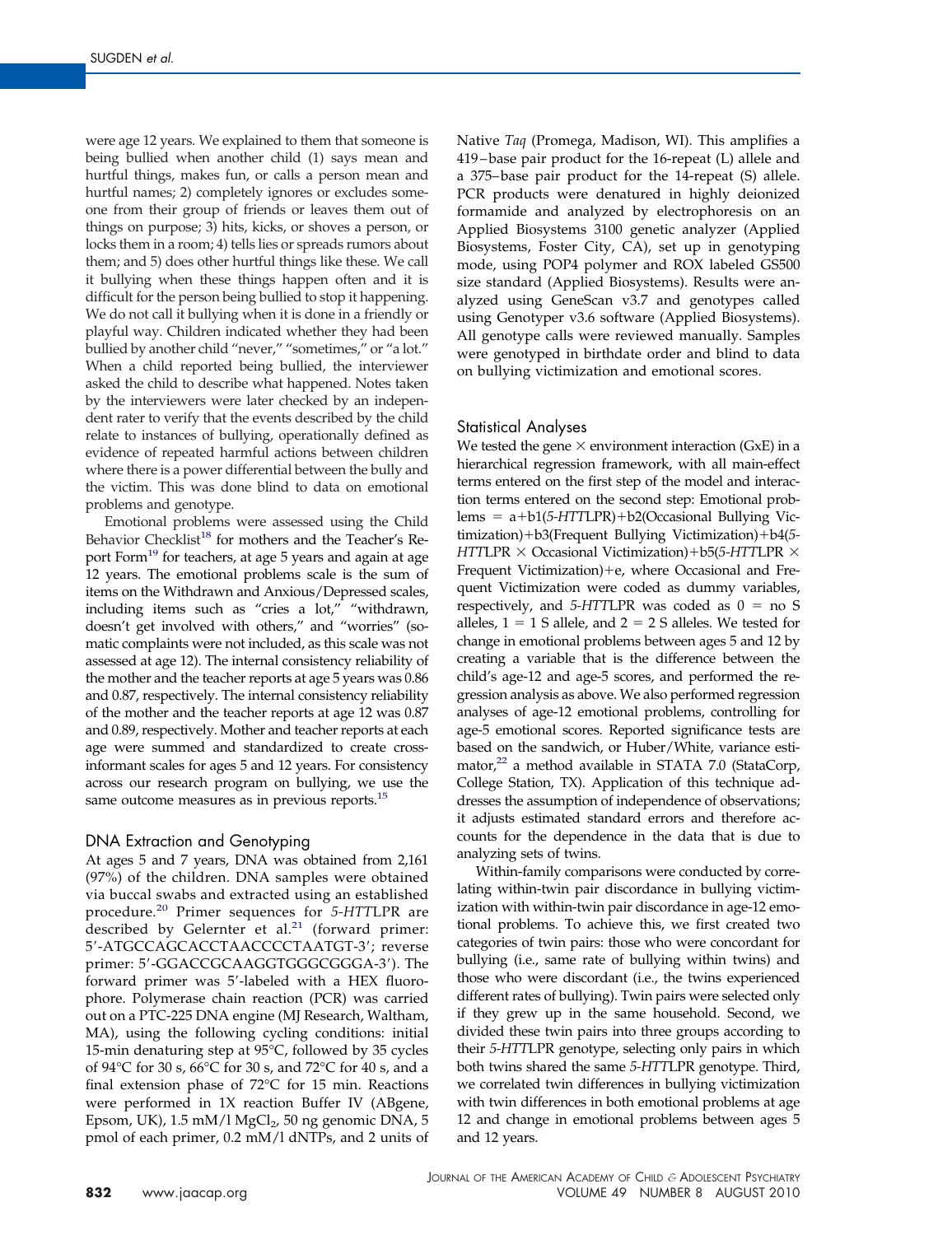were age 12 years. We explained to them that someone is being bullied when another child (1) says mean and hurtful things, makes fun, or calls a person mean and hurtful names; 2) completely ignores or excludes someone from their group of friends or leaves them out of things on purpose; 3) hits, kicks, or shoves a person, or locks them in a room; 4) tells lies or spreads rumors about them; and 5) does other hurtful things like these. We call it bullying when these things happen often and it is difficult for the person being bullied to stop it happening. We do not call it bullying when it is done in a friendly or playful way. Children indicated whether they had been bullied by another child "never," "sometimes," or "a lot." When a child reported being bullied, the interviewer asked the child to describe what happened. Notes taken by the interviewers were later checked by an independent rater to verify that the events described by the child relate to instances of bullying, operationally defined as evidence of repeated harmful actions between children where there is a power differential between the bully and the victim. This was done blind to data on emotional problems and genotype.

Emotional problems were assessed using the Child Behavior Checklist<sup>18</sup> for mothers and the Teacher's Report Form<sup>19</sup> for teachers, at age 5 years and again at age 12 years. The emotional problems scale is the sum of items on the Withdrawn and Anxious/Depressed scales, including items such as "cries a lot," "withdrawn, doesn't get involved with others," and "worries" (somatic complaints were not included, as this scale was not assessed at age 12). The internal consistency reliability of the mother and the teacher reports at age 5 years was 0.86 and 0.87, respectively. The internal consistency reliability of the mother and the teacher reports at age 12 was 0.87 and 0.89, respectively. Mother and teacher reports at each age were summed and standardized to create crossinformant scales for ages 5 and 12 years. For consistency across our research program on bullying, we use the same outcome measures as in previous reports.<sup>15</sup>

## DNA Extraction and Genotyping

At ages 5 and 7 years, DNA was obtained from 2,161 (97%) of the children. DNA samples were obtained via buccal swabs and extracted using an established procedure.[20](#page-9-0) Primer sequences for *5-HTT*LPR are described by Gelernter et al.<sup>[21](#page-9-0)</sup> (forward primer: 5'-ATGCCAGCACCTAACCCCTAATGT-3'; reverse primer: 5'-GGACCGCAAGGTGGGCGGGA-3'). The forward primer was 5'-labeled with a HEX fluorophore. Polymerase chain reaction (PCR) was carried out on a PTC-225 DNA engine (MJ Research, Waltham, MA), using the following cycling conditions: initial 15-min denaturing step at 95°C, followed by 35 cycles of 94°C for 30 s, 66°C for 30 s, and 72°C for 40 s, and a final extension phase of 72°C for 15 min. Reactions were performed in 1X reaction Buffer IV (ABgene, Epsom, UK),  $1.5$  mM/l MgCl<sub>2</sub>,  $50$  ng genomic DNA,  $5$ pmol of each primer, 0.2 mM/l dNTPs, and 2 units of Native *Taq* (Promega, Madison, WI). This amplifies a 419 – base pair product for the 16-repeat (L) allele and a 375– base pair product for the 14-repeat (S) allele. PCR products were denatured in highly deionized formamide and analyzed by electrophoresis on an Applied Biosystems 3100 genetic analyzer (Applied Biosystems, Foster City, CA), set up in genotyping mode, using POP4 polymer and ROX labeled GS500 size standard (Applied Biosystems). Results were analyzed using GeneScan v3.7 and genotypes called using Genotyper v3.6 software (Applied Biosystems). All genotype calls were reviewed manually. Samples were genotyped in birthdate order and blind to data on bullying victimization and emotional scores.

## Statistical Analyses

We tested the gene  $\times$  environment interaction (GxE) in a hierarchical regression framework, with all main-effect terms entered on the first step of the model and interaction terms entered on the second step: Emotional problems = a+b1(5-HTTLPR)+b2(Occasional Bullying Victimization)+b3(Frequent Bullying Victimization)+b4(5-*HTTLPR*  $\times$  Occasional Victimization)+b5(5-*HTTLPR*  $\times$ Frequent Victimization) $+e$ , where Occasional and Frequent Victimization were coded as dummy variables, respectively, and 5-HTTLPR was coded as  $0 =$  no S alleles,  $1 = 1$  S allele, and  $2 = 2$  S alleles. We tested for change in emotional problems between ages 5 and 12 by creating a variable that is the difference between the child's age-12 and age-5 scores, and performed the regression analysis as above. We also performed regression analyses of age-12 emotional problems, controlling for age-5 emotional scores. Reported significance tests are based on the sandwich, or Huber/White, variance estimator, $2^2$  a method available in STATA 7.0 (StataCorp, College Station, TX). Application of this technique addresses the assumption of independence of observations; it adjusts estimated standard errors and therefore accounts for the dependence in the data that is due to analyzing sets of twins.

Within-family comparisons were conducted by correlating within-twin pair discordance in bullying victimization with within-twin pair discordance in age-12 emotional problems. To achieve this, we first created two categories of twin pairs: those who were concordant for bullying (i.e., same rate of bullying within twins) and those who were discordant (i.e., the twins experienced different rates of bullying). Twin pairs were selected only if they grew up in the same household. Second, we divided these twin pairs into three groups according to their *5-HTT*LPR genotype, selecting only pairs in which both twins shared the same *5-HTT*LPR genotype. Third, we correlated twin differences in bullying victimization with twin differences in both emotional problems at age 12 and change in emotional problems between ages 5 and 12 years.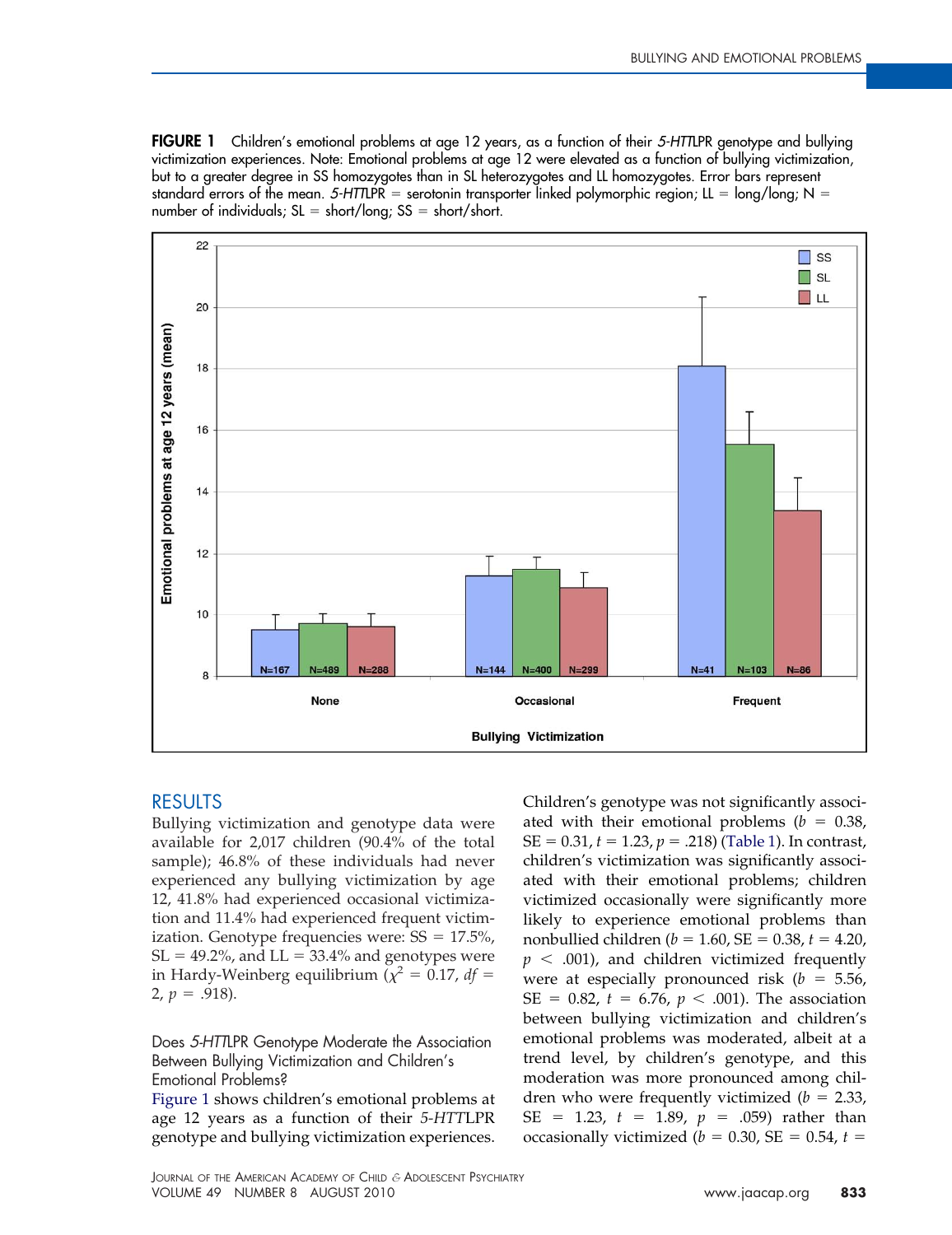**FIGURE 1** Children's emotional problems at age 12 years, as a function of their *5-HTT*LPR genotype and bullying victimization experiences. Note: Emotional problems at age 12 were elevated as a function of bullying victimization, but to a greater degree in SS homozygotes than in SL heterozygotes and LL homozygotes. Error bars represent standard errors of the mean. *5-HTT*LPR = serotonin transporter linked polymorphic region; LL = long/long; N = number of individuals; SL = short/long; SS = short/short.



# **RESULTS**

Bullying victimization and genotype data were available for 2,017 children (90.4% of the total sample); 46.8% of these individuals had never experienced any bullying victimization by age 12, 41.8% had experienced occasional victimization and 11.4% had experienced frequent victimization. Genotype frequencies were:  $SS = 17.5\%$ ,  $SL = 49.2\%$ , and  $LL = 33.4\%$  and genotypes were in Hardy-Weinberg equilibrium  $\tilde{\chi}^2 = 0.17$ , *df* =  $2, p = .918$ ).

## Does *5-HTT*LPR Genotype Moderate the Association Between Bullying Victimization and Children's Emotional Problems?

Figure 1 shows children's emotional problems at age 12 years as a function of their *5-HTT*LPR genotype and bullying victimization experiences.

Children's genotype was not significantly associated with their emotional problems  $(b = 0.38)$ ,  $SE = 0.31$ ,  $t = 1.23$ ,  $p = .218$ ) [\(Table 1\)](#page-4-0). In contrast, children's victimization was significantly associated with their emotional problems; children victimized occasionally were significantly more likely to experience emotional problems than  $\text{nonbullied children} \ (b = 1.60, \text{SE} = 0.38, t = 4.20, \text{SE} = 0.38, t = 1.4, t = 1.4$  $p < .001$ ), and children victimized frequently were at especially pronounced risk  $(b = 5.56,$  $SE = 0.82$ ,  $t = 6.76$ ,  $p < .001$ ). The association between bullying victimization and children's emotional problems was moderated, albeit at a trend level, by children's genotype, and this moderation was more pronounced among children who were frequently victimized  $(b = 2.33,$  $SE$  = 1.23*, t* = 1.89*, p* = .059) rather than occasionally victimized ( $b = 0.30$ , SE = 0.54,  $t =$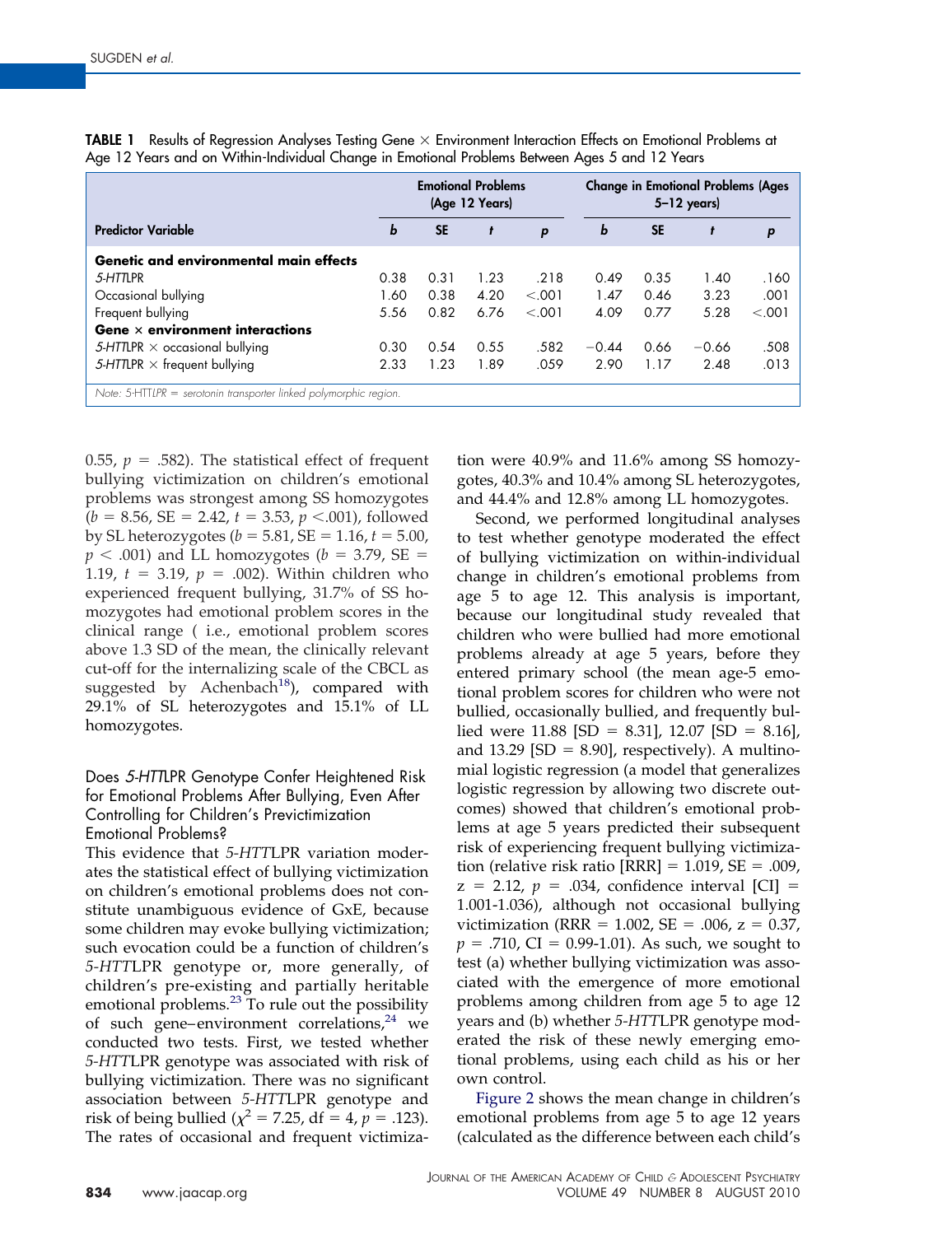|                                                                   | <b>Emotional Problems</b><br>(Age 12 Years) |           |              |         | <b>Change in Emotional Problems (Ages</b><br>$5-12$ years) |           |         |        |
|-------------------------------------------------------------------|---------------------------------------------|-----------|--------------|---------|------------------------------------------------------------|-----------|---------|--------|
| <b>Predictor Variable</b>                                         | b                                           | <b>SE</b> | $\mathbf{f}$ | p       | b                                                          | <b>SE</b> | t       | p      |
| <b>Genetic and environmental main effects</b>                     |                                             |           |              |         |                                                            |           |         |        |
| 5-HTTLPR                                                          | 0.38                                        | 0.31      | 1.23         | .218    | 0.49                                                       | 0.35      | 1.40    | .160   |
| Occasional bullying                                               | 1.60                                        | 0.38      | 4.20         | < 0.001 | 1.47                                                       | 0.46      | 3.23    | .001   |
| Frequent bullying                                                 | 5.56                                        | 0.82      | 6.76         | < 0.001 | 4.09                                                       | 0.77      | 5.28    | < .001 |
| Gene $\times$ environment interactions                            |                                             |           |              |         |                                                            |           |         |        |
| 5-HTTLPR $\times$ occasional bullying                             | 0.30                                        | 0.54      | 0.55         | .582    | $-0.44$                                                    | 0.66      | $-0.66$ | .508   |
| 5-HTTLPR $\times$ frequent bullying                               | 2.33                                        | 1.23      | 1.89         | .059    | 2.90                                                       | 1.17      | 2.48    | .013   |
| Note: 5-HTTLPR = serotonin transporter linked polymorphic region. |                                             |           |              |         |                                                            |           |         |        |

<span id="page-4-0"></span>**TABLE 1** Results of Regression Analyses Testing Gene Environment Interaction Effects on Emotional Problems at Age 12 Years and on Within-Individual Change in Emotional Problems Between Ages 5 and 12 Years

0.55,  $p = .582$ ). The statistical effect of frequent bullying victimization on children's emotional problems was strongest among SS homozygotes  $(b = 8.56, SE = 2.42, t = 3.53, p < .001)$ , followed by SL heterozygotes ( $b = 5.81$ , SE = 1.16,  $t = 5.00$ ,  $p < .001$ ) and LL homozygotes ( $b = 3.79$ , SE = 1.19,  $t = 3.19$ ,  $p = .002$ ). Within children who experienced frequent bullying, 31.7% of SS homozygotes had emotional problem scores in the clinical range ( i.e., emotional problem scores above 1.3 SD of the mean, the clinically relevant cut-off for the internalizing scale of the CBCL as suggested by Achenbach<sup>18</sup>), compared with 29.1% of SL heterozygotes and 15.1% of LL homozygotes.

## Does *5-HTT*LPR Genotype Confer Heightened Risk for Emotional Problems After Bullying, Even After Controlling for Children's Previctimization Emotional Problems?

This evidence that *5-HTT*LPR variation moderates the statistical effect of bullying victimization on children's emotional problems does not constitute unambiguous evidence of GxE, because some children may evoke bullying victimization; such evocation could be a function of children's *5-HTT*LPR genotype or, more generally, of children's pre-existing and partially heritable emotional problems. $^{23}$  $^{23}$  $^{23}$  To rule out the possibility of such gene–environment correlations, $24$  we conducted two tests. First, we tested whether *5-HTT*LPR genotype was associated with risk of bullying victimization. There was no significant association between *5-HTT*LPR genotype and risk of being bullied ( $\chi^2 = 7.25$ , df = 4, p = .123). The rates of occasional and frequent victimization were 40.9% and 11.6% among SS homozygotes, 40.3% and 10.4% among SL heterozygotes, and 44.4% and 12.8% among LL homozygotes.

Second, we performed longitudinal analyses to test whether genotype moderated the effect of bullying victimization on within-individual change in children's emotional problems from age 5 to age 12. This analysis is important, because our longitudinal study revealed that children who were bullied had more emotional problems already at age 5 years, before they entered primary school (the mean age-5 emotional problem scores for children who were not bullied, occasionally bullied, and frequently bullied were  $11.88$  [SD =  $8.31$ ],  $12.07$  [SD =  $8.16$ ], and  $13.29$  [SD =  $8.90$ ], respectively). A multinomial logistic regression (a model that generalizes logistic regression by allowing two discrete outcomes) showed that children's emotional problems at age 5 years predicted their subsequent risk of experiencing frequent bullying victimization (relative risk ratio  $\text{[RRR]} = 1.019$ , SE = .009,  $z = 2.12, p = .034,$  confidence interval [CI] = 1.001-1.036), although not occasional bullying victimization ( $RRR = 1.002$ ,  $SE = .006$ ,  $z = 0.37$ ,  $p = .710$ , CI = 0.99-1.01). As such, we sought to test (a) whether bullying victimization was associated with the emergence of more emotional problems among children from age 5 to age 12 years and (b) whether *5-HTT*LPR genotype moderated the risk of these newly emerging emotional problems, using each child as his or her own control.

[Figure 2](#page-5-0) shows the mean change in children's emotional problems from age 5 to age 12 years (calculated as the difference between each child's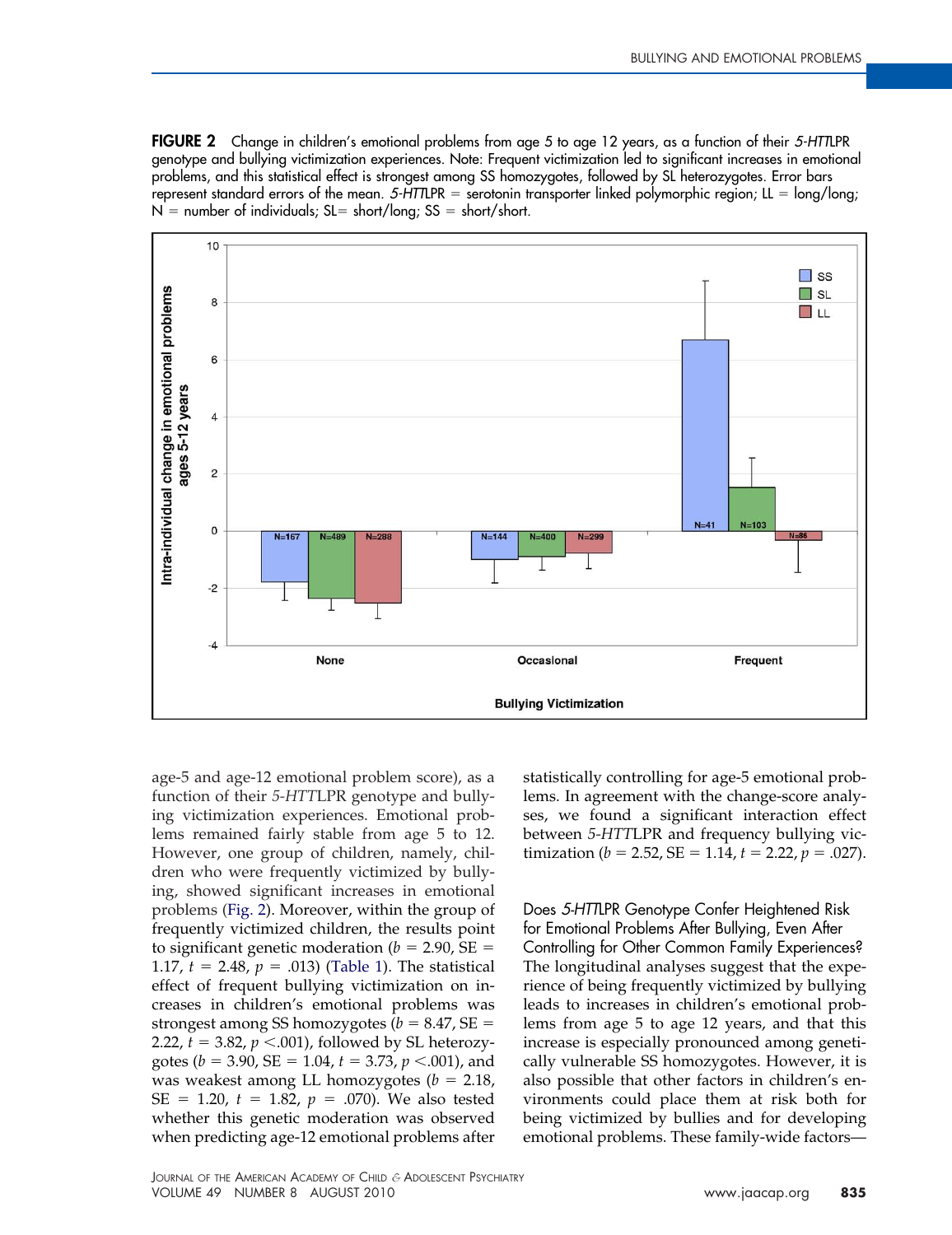<span id="page-5-0"></span>**FIGURE 2** Change in children's emotional problems from age 5 to age 12 years, as a function of their *5-HTT*LPR genotype and bullying victimization experiences. Note: Frequent victimization led to significant increases in emotional problems, and this statistical effect is strongest among SS homozygotes, followed by SL heterozygotes. Error bars represent standard errors of the mean. *5-HTT*LPR = serotonin transporter linked polymorphic region; LL = long/long; N - number of individuals; SL- short/long; SS - short/short.



age-5 and age-12 emotional problem score), as a function of their *5-HTT*LPR genotype and bullying victimization experiences. Emotional problems remained fairly stable from age 5 to 12. However, one group of children, namely, children who were frequently victimized by bullying, showed significant increases in emotional problems (Fig. 2). Moreover, within the group of frequently victimized children, the results point to significant genetic moderation ( $b = 2.90$ , SE = 1.17,  $t = 2.48$ ,  $p = .013$ ) [\(Table 1\)](#page-4-0). The statistical effect of frequent bullying victimization on increases in children's emotional problems was strongest among SS homozygotes ( $b = 8.47$ , SE  $=$ 2.22,  $t = 3.82$ ,  $p < 0.001$ ), followed by SL heterozygotes ( $b = 3.90$ , SE = 1.04,  $t = 3.73$ ,  $p < .001$ ), and was weakest among LL homozygotes ( $b = 2.18$ ,  $SE = 1.20, t = 1.82, p = .070$ ). We also tested whether this genetic moderation was observed when predicting age-12 emotional problems after

statistically controlling for age-5 emotional problems. In agreement with the change-score analyses, we found a significant interaction effect between *5-HTT*LPR and frequency bullying victimization ( $b = 2.52$ , SE = 1.14,  $t = 2.22$ ,  $p = .027$ ).

Does *5-HTT*LPR Genotype Confer Heightened Risk for Emotional Problems After Bullying, Even After Controlling for Other Common Family Experiences? The longitudinal analyses suggest that the experience of being frequently victimized by bullying leads to increases in children's emotional problems from age 5 to age 12 years, and that this increase is especially pronounced among genetically vulnerable SS homozygotes. However, it is also possible that other factors in children's environments could place them at risk both for being victimized by bullies and for developing emotional problems. These family-wide factors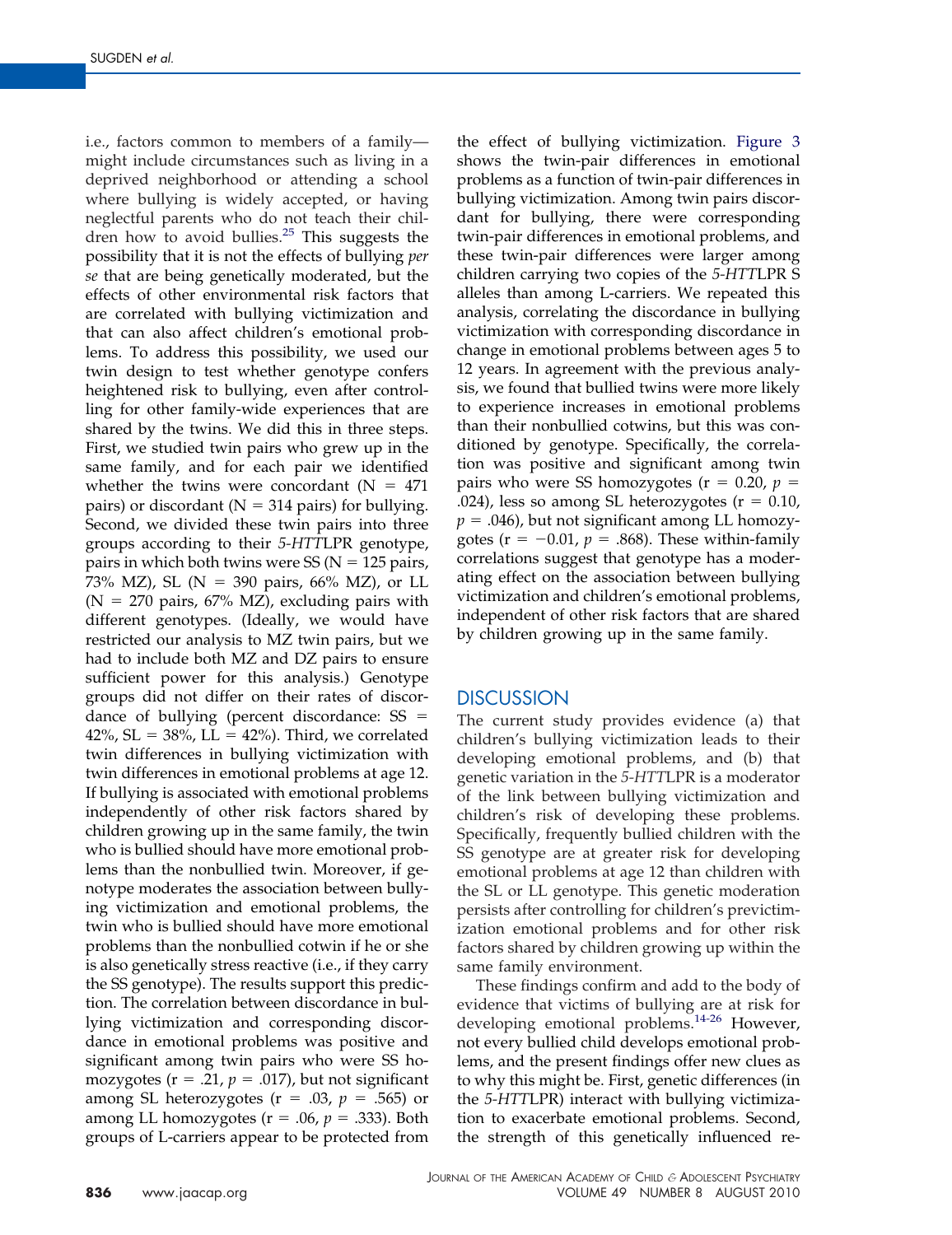i.e., factors common to members of a family might include circumstances such as living in a deprived neighborhood or attending a school where bullying is widely accepted, or having neglectful parents who do not teach their chil-dren how to avoid bullies.<sup>[25](#page-10-0)</sup> This suggests the possibility that it is not the effects of bullying *per se* that are being genetically moderated, but the effects of other environmental risk factors that are correlated with bullying victimization and that can also affect children's emotional problems. To address this possibility, we used our twin design to test whether genotype confers heightened risk to bullying, even after controlling for other family-wide experiences that are shared by the twins. We did this in three steps. First, we studied twin pairs who grew up in the same family, and for each pair we identified whether the twins were concordant  $(N = 471)$ pairs) or discordant ( $N = 314$  pairs) for bullying. Second, we divided these twin pairs into three groups according to their *5-HTT*LPR genotype, pairs in which both twins were SS ( $\mathrm{N}=125$  pairs, 73% MZ), SL (N = 390 pairs, 66% MZ), or LL  $(N = 270 \text{ pairs}, 67\% \text{ MZ})$ , excluding pairs with different genotypes. (Ideally, we would have restricted our analysis to MZ twin pairs, but we had to include both MZ and DZ pairs to ensure sufficient power for this analysis.) Genotype groups did not differ on their rates of discordance of bullying (percent discordance:  $SS =$ 42%, SL =  $38\%$ , LL =  $42\%$ ). Third, we correlated twin differences in bullying victimization with twin differences in emotional problems at age 12. If bullying is associated with emotional problems independently of other risk factors shared by children growing up in the same family, the twin who is bullied should have more emotional problems than the nonbullied twin. Moreover, if genotype moderates the association between bullying victimization and emotional problems, the twin who is bullied should have more emotional problems than the nonbullied cotwin if he or she is also genetically stress reactive (i.e., if they carry the SS genotype). The results support this prediction. The correlation between discordance in bullying victimization and corresponding discordance in emotional problems was positive and significant among twin pairs who were SS homozygotes ( $r = .21$ ,  $p = .017$ ), but not significant among SL heterozygotes ( $r = .03$ ,  $p = .565$ ) or among LL homozygotes ( $r = .06$ ,  $p = .333$ ). Both groups of L-carriers appear to be protected from

the effect of bullying victimization. [Figure 3](#page-7-0) shows the twin-pair differences in emotional problems as a function of twin-pair differences in bullying victimization. Among twin pairs discordant for bullying, there were corresponding twin-pair differences in emotional problems, and these twin-pair differences were larger among children carrying two copies of the *5-HTT*LPR S alleles than among L-carriers. We repeated this analysis, correlating the discordance in bullying victimization with corresponding discordance in change in emotional problems between ages 5 to 12 years. In agreement with the previous analysis, we found that bullied twins were more likely to experience increases in emotional problems than their nonbullied cotwins, but this was conditioned by genotype. Specifically, the correlation was positive and significant among twin pairs who were SS homozygotes ( $r = 0.20$ ,  $p =$ .024), less so among SL heterozygotes  $(r = 0.10)$ ,  $p = .046$ ), but not significant among LL homozygotes ( $r = -0.01$ ,  $p = .868$ ). These within-family correlations suggest that genotype has a moderating effect on the association between bullying victimization and children's emotional problems, independent of other risk factors that are shared by children growing up in the same family.

## **DISCUSSION**

The current study provides evidence (a) that children's bullying victimization leads to their developing emotional problems, and (b) that genetic variation in the *5-HTT*LPR is a moderator of the link between bullying victimization and children's risk of developing these problems. Specifically, frequently bullied children with the SS genotype are at greater risk for developing emotional problems at age 12 than children with the SL or LL genotype. This genetic moderation persists after controlling for children's previctimization emotional problems and for other risk factors shared by children growing up within the same family environment.

These findings confirm and add to the body of evidence that victims of bullying are at risk for developing emotional problems.<sup>14-26</sup> However, not every bullied child develops emotional problems, and the present findings offer new clues as to why this might be. First, genetic differences (in the *5-HTT*LPR) interact with bullying victimization to exacerbate emotional problems. Second, the strength of this genetically influenced re-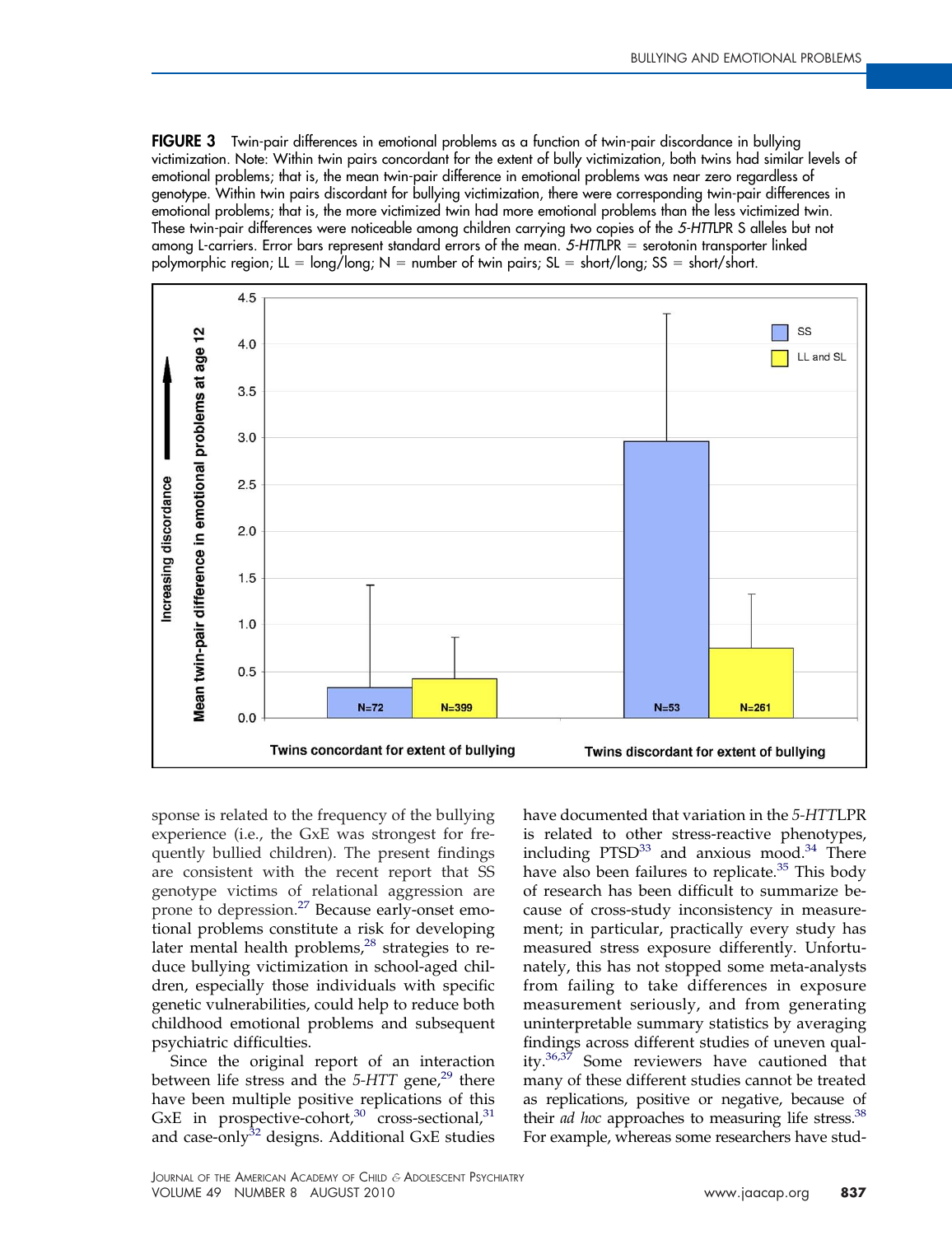<span id="page-7-0"></span>**FIGURE 3** Twin-pair differences in emotional problems as a function of twin-pair discordance in bullying victimization. Note: Within twin pairs concordant for the extent of bully victimization, both twins had similar levels of emotional problems; that is, the mean twin-pair difference in emotional problems was near zero regardless of genotype. Within twin pairs discordant for bullying victimization, there were corresponding twin-pair differences in emotional problems; that is, the more victimized twin had more emotional problems than the less victimized twin. These twin-pair differences were noticeable among children carrying two copies of the *5-HTT*LPR S alleles but not among L-carriers. Error bars represent standard errors of the mean. *5-HTT*LPR = serotonin transporter linked polymorphic region; LL = long/long; N = number of twin pairs; SL = short/long; SS = short/short.



sponse is related to the frequency of the bullying experience (i.e., the GxE was strongest for frequently bullied children). The present findings are consistent with the recent report that SS genotype victims of relational aggression are prone to depression.<sup>27</sup> Because early-onset emotional problems constitute a risk for developing later mental health problems, $28$  strategies to reduce bullying victimization in school-aged children, especially those individuals with specific genetic vulnerabilities, could help to reduce both childhood emotional problems and subsequent psychiatric difficulties.

Since the original report of an interaction between life stress and the 5-HTT gene,<sup>[29](#page-10-0)</sup> there have been multiple positive replications of this GxE in prospective-cohort, $30$  cross-sectional, $31$ and case-only<sup>32</sup> designs. Additional GxE studies have documented that variation in the *5-HTT*LPR is related to other stress-reactive phenotypes, including  $PTSD<sup>33</sup>$  $PTSD<sup>33</sup>$  $PTSD<sup>33</sup>$  and anxious mood.<sup>[34](#page-10-0)</sup> There have also been failures to replicate.<sup>35</sup> This body of research has been difficult to summarize because of cross-study inconsistency in measurement; in particular, practically every study has measured stress exposure differently. Unfortunately, this has not stopped some meta-analysts from failing to take differences in exposure measurement seriously, and from generating uninterpretable summary statistics by averaging findings across different studies of uneven quality.[36,37](#page-10-0) Some reviewers have cautioned that many of these different studies cannot be treated as replications, positive or negative, because of their *ad hoc* approaches to measuring life stress.<sup>38</sup> For example, whereas some researchers have stud-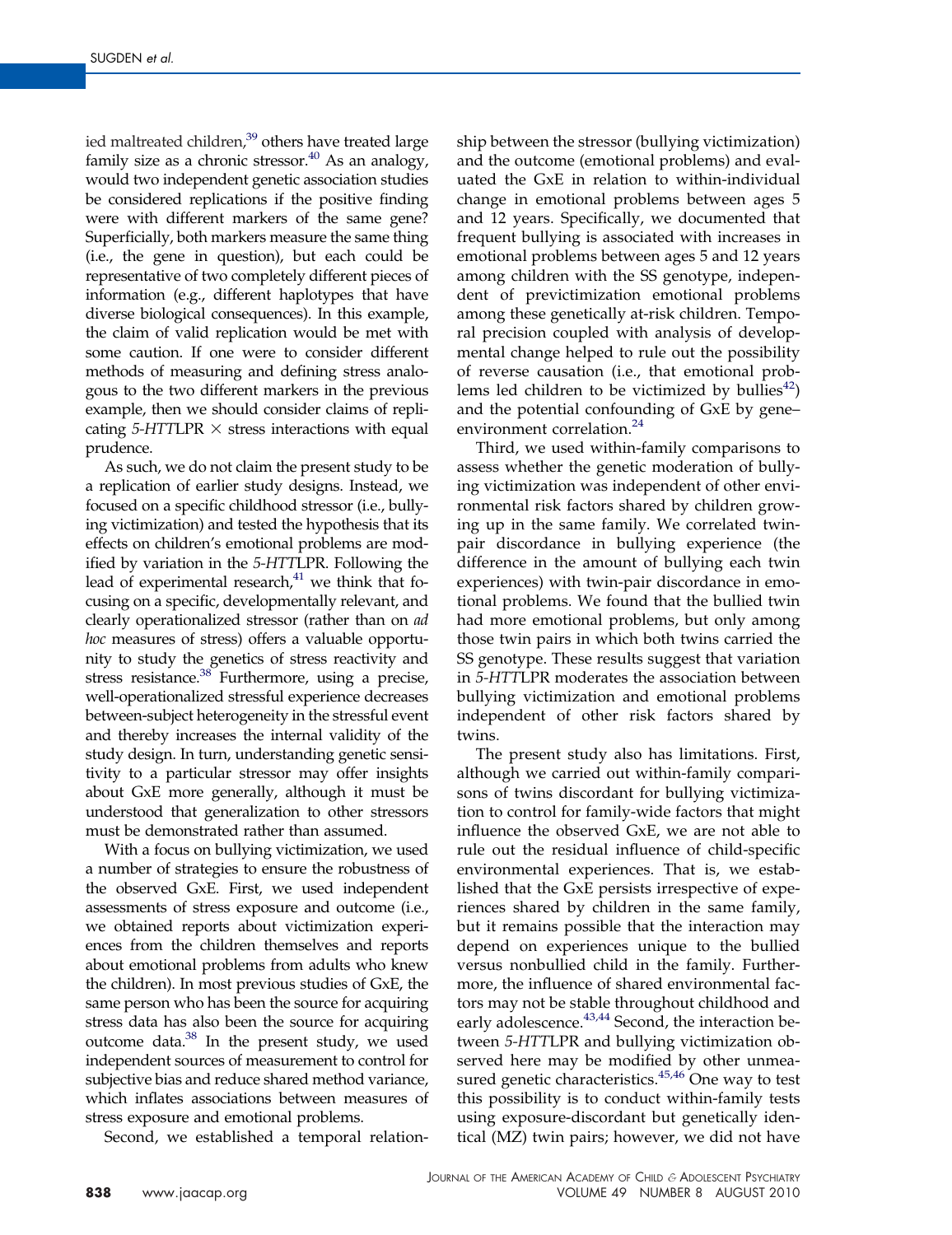ied maltreated children,<sup>39</sup> others have treated large family size as a chronic stressor. $40$  As an analogy, would two independent genetic association studies be considered replications if the positive finding were with different markers of the same gene? Superficially, both markers measure the same thing (i.e., the gene in question), but each could be representative of two completely different pieces of information (e.g., different haplotypes that have diverse biological consequences). In this example, the claim of valid replication would be met with some caution. If one were to consider different methods of measuring and defining stress analogous to the two different markers in the previous example, then we should consider claims of replicating  $5$ -HTTLPR  $\times$  stress interactions with equal prudence.

As such, we do not claim the present study to be a replication of earlier study designs. Instead, we focused on a specific childhood stressor (i.e., bullying victimization) and tested the hypothesis that its effects on children's emotional problems are modified by variation in the *5-HTT*LPR. Following the lead of experimental research, $41$  we think that focusing on a specific, developmentally relevant, and clearly operationalized stressor (rather than on *ad hoc* measures of stress) offers a valuable opportunity to study the genetics of stress reactivity and stress resistance. $38$  Furthermore, using a precise, well-operationalized stressful experience decreases between-subject heterogeneity in the stressful event and thereby increases the internal validity of the study design. In turn, understanding genetic sensitivity to a particular stressor may offer insights about GxE more generally, although it must be understood that generalization to other stressors must be demonstrated rather than assumed.

With a focus on bullying victimization, we used a number of strategies to ensure the robustness of the observed GxE. First, we used independent assessments of stress exposure and outcome (i.e., we obtained reports about victimization experiences from the children themselves and reports about emotional problems from adults who knew the children). In most previous studies of GxE, the same person who has been the source for acquiring stress data has also been the source for acquiring outcome data. $38$  In the present study, we used independent sources of measurement to control for subjective bias and reduce shared method variance, which inflates associations between measures of stress exposure and emotional problems.

Second, we established a temporal relation-

ship between the stressor (bullying victimization) and the outcome (emotional problems) and evaluated the GxE in relation to within-individual change in emotional problems between ages 5 and 12 years. Specifically, we documented that frequent bullying is associated with increases in emotional problems between ages 5 and 12 years among children with the SS genotype, independent of previctimization emotional problems among these genetically at-risk children. Temporal precision coupled with analysis of developmental change helped to rule out the possibility of reverse causation (i.e., that emotional problems led children to be victimized by bullies<sup>42</sup>) and the potential confounding of GxE by gene– environment correlation.<sup>[24](#page-10-0)</sup>

Third, we used within-family comparisons to assess whether the genetic moderation of bullying victimization was independent of other environmental risk factors shared by children growing up in the same family. We correlated twinpair discordance in bullying experience (the difference in the amount of bullying each twin experiences) with twin-pair discordance in emotional problems. We found that the bullied twin had more emotional problems, but only among those twin pairs in which both twins carried the SS genotype. These results suggest that variation in *5-HTT*LPR moderates the association between bullying victimization and emotional problems independent of other risk factors shared by twins.

The present study also has limitations. First, although we carried out within-family comparisons of twins discordant for bullying victimization to control for family-wide factors that might influence the observed GxE, we are not able to rule out the residual influence of child-specific environmental experiences. That is, we established that the GxE persists irrespective of experiences shared by children in the same family, but it remains possible that the interaction may depend on experiences unique to the bullied versus nonbullied child in the family. Furthermore, the influence of shared environmental factors may not be stable throughout childhood and early adolescence.<sup>[43,44](#page-10-0)</sup> Second, the interaction between *5-HTT*LPR and bullying victimization observed here may be modified by other unmea-sured genetic characteristics.<sup>[45,46](#page-10-0)</sup> One way to test this possibility is to conduct within-family tests using exposure-discordant but genetically identical (MZ) twin pairs; however, we did not have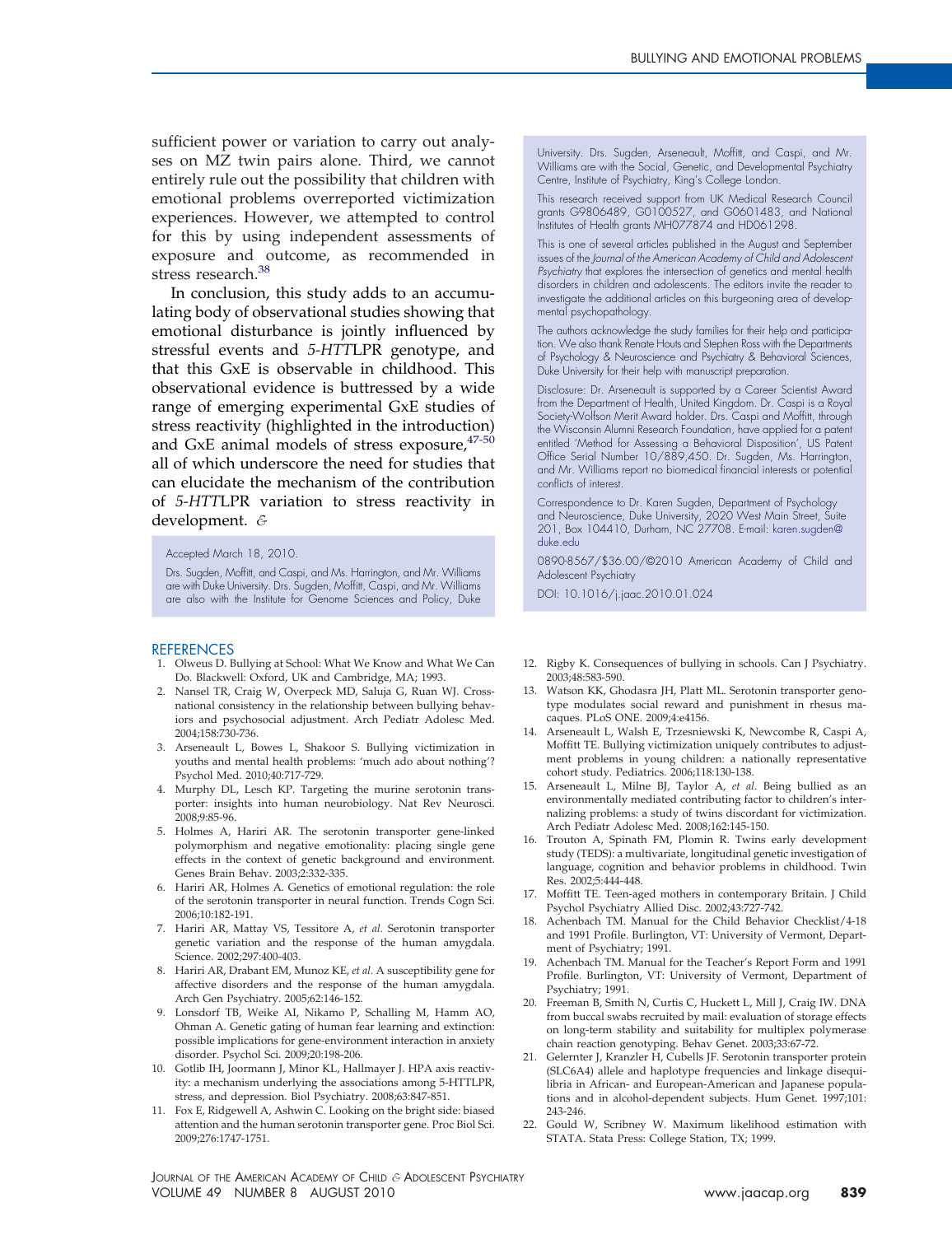<span id="page-9-0"></span>sufficient power or variation to carry out analyses on MZ twin pairs alone. Third, we cannot entirely rule out the possibility that children with emotional problems overreported victimization experiences. However, we attempted to control for this by using independent assessments of exposure and outcome, as recommended in stress research.<sup>[38](#page-10-0)</sup>

In conclusion, this study adds to an accumulating body of observational studies showing that emotional disturbance is jointly influenced by stressful events and *5-HTT*LPR genotype, and that this GxE is observable in childhood. This observational evidence is buttressed by a wide range of emerging experimental GxE studies of stress reactivity (highlighted in the introduction) and GxE animal models of stress exposure,  $47-50$ all of which underscore the need for studies that can elucidate the mechanism of the contribution of *5-HTT*LPR variation to stress reactivity in development. *&*

### Accepted March 18, 2010.

Drs. Sugden, Moffitt, and Caspi, and Ms. Harrington, and Mr. Williams are with Duke University. Drs. Sugden, Moffitt, Caspi, and Mr. Williams are also with the Institute for Genome Sciences and Policy, Duke

#### **REFERENCES**

- 1. Olweus D. Bullying at School: What We Know and What We Can Do. Blackwell: Oxford, UK and Cambridge, MA; 1993.
- 2. Nansel TR, Craig W, Overpeck MD, Saluja G, Ruan WJ. Crossnational consistency in the relationship between bullying behaviors and psychosocial adjustment. Arch Pediatr Adolesc Med. 2004;158:730-736.
- 3. Arseneault L, Bowes L, Shakoor S. Bullying victimization in youths and mental health problems: 'much ado about nothing'? Psychol Med. 2010;40:717-729.
- 4. Murphy DL, Lesch KP. Targeting the murine serotonin transporter: insights into human neurobiology. Nat Rev Neurosci. 2008;9:85-96.
- 5. Holmes A, Hariri AR. The serotonin transporter gene-linked polymorphism and negative emotionality: placing single gene effects in the context of genetic background and environment. Genes Brain Behav. 2003;2:332-335.
- 6. Hariri AR, Holmes A. Genetics of emotional regulation: the role of the serotonin transporter in neural function. Trends Cogn Sci. 2006;10:182-191.
- 7. Hariri AR, Mattay VS, Tessitore A, *et al.* Serotonin transporter genetic variation and the response of the human amygdala. Science. 2002;297:400-403.
- 8. Hariri AR, Drabant EM, Munoz KE, *et al.* A susceptibility gene for affective disorders and the response of the human amygdala. Arch Gen Psychiatry. 2005;62:146-152.
- 9. Lonsdorf TB, Weike AI, Nikamo P, Schalling M, Hamm AO, Ohman A. Genetic gating of human fear learning and extinction: possible implications for gene-environment interaction in anxiety disorder. Psychol Sci. 2009;20:198-206.
- 10. Gotlib IH, Joormann J, Minor KL, Hallmayer J. HPA axis reactivity: a mechanism underlying the associations among 5-HTTLPR, stress, and depression. Biol Psychiatry. 2008;63:847-851.
- 11. Fox E, Ridgewell A, Ashwin C. Looking on the bright side: biased attention and the human serotonin transporter gene. Proc Biol Sci. 2009;276:1747-1751.

University. Drs. Sugden, Arseneault, Moffitt, and Caspi, and Mr. Williams are with the Social, Genetic, and Developmental Psychiatry Centre, Institute of Psychiatry, King's College London.

This research received support from UK Medical Research Council grants G9806489, G0100527, and G0601483, and National Institutes of Health grants MH077874 and HD061298.

This is one of several articles published in the August and September issues of the *Journal of the American Academy of Child and Adolescent Psychiatry* that explores the intersection of genetics and mental health disorders in children and adolescents. The editors invite the reader to investigate the additional articles on this burgeoning area of developmental psychopathology.

The authors acknowledge the study families for their help and participation. We also thank Renate Houts and Stephen Ross with the Departments of Psychology & Neuroscience and Psychiatry & Behavioral Sciences, Duke University for their help with manuscript preparation.

Disclosure: Dr. Arseneault is supported by a Career Scientist Award from the Department of Health, United Kingdom. Dr. Caspi is a Royal Society-Wolfson Merit Award holder. Drs. Caspi and Moffitt, through the Wisconsin Alumni Research Foundation, have applied for a patent entitled 'Method for Assessing a Behavioral Disposition', US Patent Office Serial Number 10/889,450. Dr. Sugden, Ms. Harrington, and Mr. Williams report no biomedical financial interests or potential conflicts of interest.

Correspondence to Dr. Karen Sugden, Department of Psychology and Neuroscience, Duke University, 2020 West Main Street, Suite 201, Box 104410, Durham, NC 27708. E-mail: [karen.sugden@](mailto:karen.sugden@duke.edu) [duke.edu](mailto:karen.sugden@duke.edu)

0890-8567/\$36.00/©2010 American Academy of Child and Adolescent Psychiatry

DOI: 10.1016/j.jaac.2010.01.024

- 12. Rigby K. Consequences of bullying in schools. Can J Psychiatry. 2003;48:583-590.
- 13. Watson KK, Ghodasra JH, Platt ML. Serotonin transporter genotype modulates social reward and punishment in rhesus macaques. PLoS ONE. 2009;4:e4156.
- 14. Arseneault L, Walsh E, Trzesniewski K, Newcombe R, Caspi A, Moffitt TE. Bullying victimization uniquely contributes to adjustment problems in young children: a nationally representative cohort study. Pediatrics. 2006;118:130-138.
- 15. Arseneault L, Milne BJ, Taylor A, *et al.* Being bullied as an environmentally mediated contributing factor to children's internalizing problems: a study of twins discordant for victimization. Arch Pediatr Adolesc Med. 2008;162:145-150.
- 16. Trouton A, Spinath FM, Plomin R. Twins early development study (TEDS): a multivariate, longitudinal genetic investigation of language, cognition and behavior problems in childhood. Twin Res. 2002;5:444-448.
- 17. Moffitt TE. Teen-aged mothers in contemporary Britain. J Child Psychol Psychiatry Allied Disc. 2002;43:727-742.
- 18. Achenbach TM. Manual for the Child Behavior Checklist/4-18 and 1991 Profile. Burlington, VT: University of Vermont, Department of Psychiatry; 1991.
- 19. Achenbach TM. Manual for the Teacher's Report Form and 1991 Profile. Burlington, VT: University of Vermont, Department of Psychiatry; 1991.
- 20. Freeman B, Smith N, Curtis C, Huckett L, Mill J, Craig IW. DNA from buccal swabs recruited by mail: evaluation of storage effects on long-term stability and suitability for multiplex polymerase chain reaction genotyping. Behav Genet. 2003;33:67-72.
- 21. Gelernter J, Kranzler H, Cubells JF. Serotonin transporter protein (SLC6A4) allele and haplotype frequencies and linkage disequilibria in African- and European-American and Japanese populations and in alcohol-dependent subjects. Hum Genet. 1997;101: 243-246.
- 22. Gould W, Scribney W. Maximum likelihood estimation with STATA. Stata Press: College Station, TX; 1999.